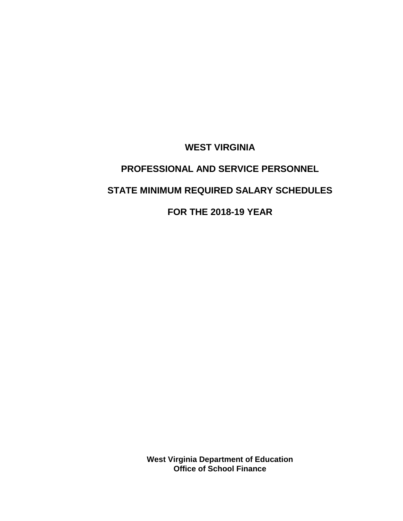**WEST VIRGINIA**

# **PROFESSIONAL AND SERVICE PERSONNEL STATE MINIMUM REQUIRED SALARY SCHEDULES**

**FOR THE 2018-19 YEAR**

**West Virginia Department of Education Office of School Finance**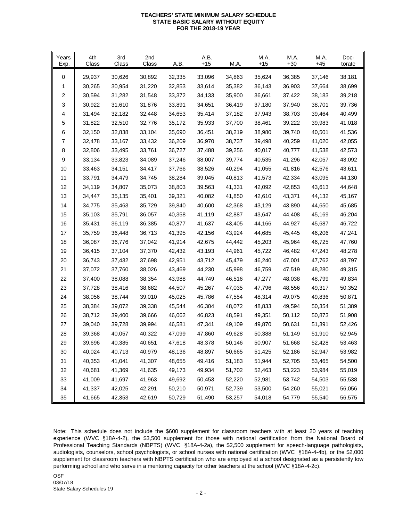### **TEACHERS' STATE MINIMUM SALARY SCHEDULE TEACHERS' STATE MINIMUM SALARY SCHEDULE STATE BASIC SALARY WITHOUT EQUITY FOR THE 2018-19 YEAR FOR THE 2018-19 YEAR**

| Years<br>Exp. | 4th<br>Class | 3rd<br>Class | 2nd<br>Class | A.B.   | A.B.<br>$+15$ | <b>M.A.</b> | M.A.<br>$+15$ | M.A.<br>$+30$ | M.A.<br>$+45$ | Doc-<br>torate |
|---------------|--------------|--------------|--------------|--------|---------------|-------------|---------------|---------------|---------------|----------------|
| 0             | 29,937       | 30,626       | 30,892       | 32,335 | 33,096        | 34,863      | 35,624        | 36,385        | 37,146        | 38,181         |
| 1             | 30,265       | 30,954       | 31,220       | 32,853 | 33,614        | 35,382      | 36,143        | 36,903        | 37,664        | 38,699         |
| 2             | 30,594       | 31,282       | 31,548       | 33,372 | 34,133        | 35,900      | 36,661        | 37,422        | 38,183        | 39,218         |
| 3             | 30,922       | 31,610       | 31,876       | 33,891 | 34,651        | 36,419      | 37,180        | 37,940        | 38,701        | 39,736         |
| 4             | 31,494       | 32,182       | 32,448       | 34,653 | 35,414        | 37,182      | 37,943        | 38,703        | 39,464        | 40,499         |
| 5             | 31,822       | 32,510       | 32,776       | 35,172 | 35,933        | 37,700      | 38,461        | 39,222        | 39,983        | 41,018         |
| 6             | 32,150       | 32,838       | 33,104       | 35,690 | 36,451        | 38,219      | 38,980        | 39,740        | 40,501        | 41,536         |
| 7             | 32,478       | 33,167       | 33,432       | 36,209 | 36,970        | 38,737      | 39,498        | 40,259        | 41,020        | 42,055         |
| 8             | 32,806       | 33,495       | 33,761       | 36,727 | 37,488        | 39,256      | 40,017        | 40,777        | 41,538        | 42,573         |
| 9             | 33,134       | 33,823       | 34,089       | 37,246 | 38,007        | 39,774      | 40,535        | 41,296        | 42,057        | 43,092         |
| 10            | 33,463       | 34,151       | 34,417       | 37,766 | 38,526        | 40,294      | 41,055        | 41,816        | 42,576        | 43,611         |
| 11            | 33,791       | 34,479       | 34,745       | 38,284 | 39,045        | 40,813      | 41,573        | 42,334        | 43,095        | 44,130         |
| 12            | 34,119       | 34,807       | 35,073       | 38,803 | 39,563        | 41,331      | 42,092        | 42,853        | 43,613        | 44,648         |
| 13            | 34,447       | 35,135       | 35,401       | 39,321 | 40,082        | 41,850      | 42,610        | 43,371        | 44,132        | 45,167         |
| 14            | 34,775       | 35,463       | 35,729       | 39,840 | 40,600        | 42,368      | 43,129        | 43,890        | 44,650        | 45,685         |
| 15            | 35,103       | 35,791       | 36,057       | 40,358 | 41,119        | 42,887      | 43,647        | 44,408        | 45,169        | 46,204         |
| 16            | 35,431       | 36,119       | 36,385       | 40,877 | 41,637        | 43,405      | 44,166        | 44,927        | 45,687        | 46,722         |
| 17            | 35,759       | 36,448       | 36,713       | 41,395 | 42,156        | 43,924      | 44,685        | 45,445        | 46,206        | 47,241         |
| 18            | 36,087       | 36,776       | 37,042       | 41,914 | 42,675        | 44,442      | 45,203        | 45,964        | 46,725        | 47,760         |
| 19            | 36,415       | 37,104       | 37,370       | 42,432 | 43,193        | 44,961      | 45,722        | 46,482        | 47,243        | 48,278         |
| 20            | 36,743       | 37,432       | 37,698       | 42,951 | 43,712        | 45,479      | 46,240        | 47,001        | 47,762        | 48,797         |
| 21            | 37,072       | 37,760       | 38,026       | 43,469 | 44,230        | 45,998      | 46,759        | 47,519        | 48,280        | 49,315         |
| 22            | 37,400       | 38,088       | 38,354       | 43,988 | 44,749        | 46,516      | 47,277        | 48,038        | 48,799        | 49,834         |
| 23            | 37,728       | 38,416       | 38,682       | 44,507 | 45,267        | 47,035      | 47,796        | 48,556        | 49,317        | 50,352         |
| 24            | 38,056       | 38,744       | 39,010       | 45,025 | 45,786        | 47,554      | 48,314        | 49,075        | 49,836        | 50,871         |
| 25            | 38,384       | 39,072       | 39,338       | 45,544 | 46,304        | 48,072      | 48,833        | 49,594        | 50,354        | 51,389         |
| 26            | 38,712       | 39,400       | 39,666       | 46,062 | 46,823        | 48,591      | 49,351        | 50,112        | 50,873        | 51,908         |
| 27            | 39,040       | 39,728       | 39,994       | 46,581 | 47,341        | 49,109      | 49,870        | 50,631        | 51,391        | 52,426         |
| 28            | 39,368       | 40,057       | 40,322       | 47,099 | 47,860        | 49,628      | 50,388        | 51,149        | 51,910        | 52,945         |
| 29            | 39,696       | 40,385       | 40,651       | 47,618 | 48,378        | 50,146      | 50,907        | 51,668        | 52,428        | 53,463         |
| $30\,$        | 40,024       | 40,713       | 40,979       | 48,136 | 48,897        | 50,665      | 51,425        | 52,186        | 52,947        | 53,982         |
| 31            | 40,353       | 41,041       | 41,307       | 48,655 | 49,416        | 51,183      | 51,944        | 52,705        | 53,465        | 54,500         |
| 32            | 40,681       | 41,369       | 41,635       | 49,173 | 49,934        | 51,702      | 52,463        | 53,223        | 53,984        | 55,019         |
| 33            | 41,009       | 41,697       | 41,963       | 49,692 | 50,453        | 52,220      | 52,981        | 53,742        | 54,503        | 55,538         |
| 34            | 41,337       | 42,025       | 42,291       | 50,210 | 50,971        | 52,739      | 53,500        | 54,260        | 55,021        | 56,056         |
| 35            | 41,665       | 42,353       | 42,619       | 50,729 | 51,490        | 53,257      | 54,018        | 54,779        | 55,540        | 56,575         |

Note: This schedule does not include the \$600 supplement for classroom teachers with at least 20 years of teaching experience (WVC §18A-4-2), the \$3,500 supplement for those with national certification from the National Board of Professional Teaching Standards (NBPTS) (WVC §18A-4-2a), the \$2,500 supplement for speech-language pathologists, audiologists, counselors, school psychologists, or school nurses with national certification (WVC §18A-4-4b), or the \$2,000 supplement for classroom teachers with NBPTS certification who are employed at a school designated as a persistently low performing school and who serve in a mentoring capacity for other teachers at the school (WVC §18A-4-2c).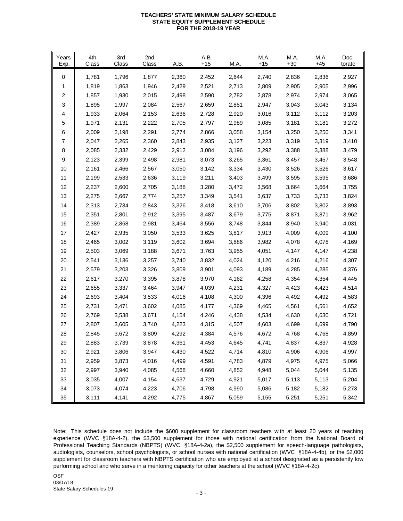### **TEACHERS' STATE MINIMUM SALARY SCHEDULE TEACHERS' STATE MINIMUM SALARY SCHEDULE STATE EQUITY SUPPLEMENT SCHEDULE FOR THE 2018-19 YEAR FOR THE 2018-19 YEAR**

| Years<br>Exp. | 4th<br>Class | 3rd<br>Class | 2nd<br>Class | A.B.  | A.B.<br>$+15$ | M.A.  | M.A.<br>$+15$ | M.A.<br>$+30$ | M.A.<br>$+45$ | Doc-<br>torate |
|---------------|--------------|--------------|--------------|-------|---------------|-------|---------------|---------------|---------------|----------------|
| 0             | 1,781        | 1,796        | 1,877        | 2,360 | 2,452         | 2,644 | 2,740         | 2,836         | 2,836         | 2,927          |
| 1             | 1,819        | 1,863        | 1,946        | 2,429 | 2,521         | 2,713 | 2,809         | 2,905         | 2,905         | 2,996          |
| 2             | 1,857        | 1,930        | 2,015        | 2,498 | 2,590         | 2,782 | 2,878         | 2,974         | 2,974         | 3,065          |
| 3             | 1,895        | 1,997        | 2,084        | 2,567 | 2,659         | 2,851 | 2,947         | 3,043         | 3,043         | 3,134          |
| 4             | 1,933        | 2,064        | 2,153        | 2,636 | 2,728         | 2,920 | 3,016         | 3,112         | 3,112         | 3,203          |
| 5             | 1,971        | 2,131        | 2,222        | 2,705 | 2,797         | 2,989 | 3,085         | 3,181         | 3,181         | 3,272          |
| 6             | 2,009        | 2,198        | 2,291        | 2,774 | 2,866         | 3,058 | 3,154         | 3,250         | 3,250         | 3,341          |
| 7             | 2,047        | 2,265        | 2,360        | 2,843 | 2,935         | 3,127 | 3,223         | 3,319         | 3,319         | 3,410          |
| 8             | 2,085        | 2,332        | 2,429        | 2,912 | 3,004         | 3,196 | 3,292         | 3,388         | 3,388         | 3,479          |
| 9             | 2,123        | 2,399        | 2,498        | 2,981 | 3,073         | 3,265 | 3,361         | 3,457         | 3,457         | 3,548          |
| 10            | 2,161        | 2,466        | 2,567        | 3,050 | 3,142         | 3,334 | 3,430         | 3,526         | 3,526         | 3,617          |
| 11            | 2,199        | 2,533        | 2,636        | 3,119 | 3,211         | 3,403 | 3,499         | 3,595         | 3,595         | 3,686          |
| 12            | 2,237        | 2,600        | 2,705        | 3,188 | 3,280         | 3,472 | 3,568         | 3,664         | 3,664         | 3,755          |
| 13            | 2,275        | 2,667        | 2,774        | 3,257 | 3,349         | 3,541 | 3,637         | 3,733         | 3,733         | 3,824          |
| 14            | 2,313        | 2,734        | 2,843        | 3,326 | 3,418         | 3,610 | 3,706         | 3,802         | 3,802         | 3,893          |
| 15            | 2,351        | 2,801        | 2,912        | 3,395 | 3,487         | 3,679 | 3,775         | 3,871         | 3,871         | 3,962          |
| 16            | 2,389        | 2,868        | 2,981        | 3,464 | 3,556         | 3,748 | 3,844         | 3,940         | 3,940         | 4,031          |
| 17            | 2,427        | 2,935        | 3,050        | 3,533 | 3,625         | 3,817 | 3,913         | 4,009         | 4,009         | 4,100          |
| 18            | 2,465        | 3,002        | 3,119        | 3,602 | 3,694         | 3,886 | 3,982         | 4,078         | 4,078         | 4,169          |
| 19            | 2,503        | 3,069        | 3,188        | 3,671 | 3,763         | 3,955 | 4,051         | 4,147         | 4,147         | 4,238          |
| 20            | 2,541        | 3,136        | 3,257        | 3,740 | 3,832         | 4,024 | 4,120         | 4,216         | 4,216         | 4,307          |
| 21            | 2,579        | 3,203        | 3,326        | 3,809 | 3,901         | 4,093 | 4,189         | 4,285         | 4,285         | 4,376          |
| 22            | 2,617        | 3,270        | 3,395        | 3,878 | 3,970         | 4,162 | 4,258         | 4,354         | 4,354         | 4,445          |
| 23            | 2,655        | 3,337        | 3,464        | 3,947 | 4,039         | 4,231 | 4,327         | 4,423         | 4,423         | 4,514          |
| 24            | 2,693        | 3,404        | 3,533        | 4,016 | 4,108         | 4,300 | 4,396         | 4,492         | 4,492         | 4,583          |
| 25            | 2,731        | 3,471        | 3,602        | 4,085 | 4,177         | 4,369 | 4,465         | 4,561         | 4,561         | 4,652          |
| 26            | 2,769        | 3,538        | 3,671        | 4,154 | 4,246         | 4,438 | 4,534         | 4,630         | 4,630         | 4,721          |
| 27            | 2,807        | 3,605        | 3,740        | 4,223 | 4,315         | 4,507 | 4,603         | 4,699         | 4,699         | 4,790          |
| 28            | 2,845        | 3,672        | 3,809        | 4,292 | 4,384         | 4,576 | 4,672         | 4,768         | 4,768         | 4,859          |
| 29            | 2,883        | 3,739        | 3,878        | 4,361 | 4,453         | 4,645 | 4,741         | 4,837         | 4,837         | 4,928          |
| 30            | 2,921        | 3,806        | 3,947        | 4,430 | 4,522         | 4,714 | 4,810         | 4,906         | 4,906         | 4,997          |
| 31            | 2,959        | 3,873        | 4,016        | 4,499 | 4,591         | 4,783 | 4,879         | 4,975         | 4,975         | 5,066          |
| 32            | 2,997        | 3,940        | 4,085        | 4,568 | 4,660         | 4,852 | 4,948         | 5,044         | 5,044         | 5,135          |
| 33            | 3,035        | 4,007        | 4,154        | 4,637 | 4,729         | 4,921 | 5,017         | 5,113         | 5,113         | 5,204          |
| 34            | 3,073        | 4,074        | 4,223        | 4,706 | 4,798         | 4,990 | 5,086         | 5,182         | 5,182         | 5,273          |
| 35            | 3,111        | 4,141        | 4,292        | 4,775 | 4,867         | 5,059 | 5,155         | 5,251         | 5,251         | 5,342          |

Note: This schedule does not include the \$600 supplement for classroom teachers with at least 20 years of teaching experience (WVC §18A-4-2), the \$3,500 supplement for those with national certification from the National Board of Professional Teaching Standards (NBPTS) (WVC §18A-4-2a), the \$2,500 supplement for speech-language pathologists, audiologists, counselors, school psychologists, or school nurses with national certification (WVC §18A-4-4b), or the \$2,000 supplement for classroom teachers with NBPTS certification who are employed at a school designated as a persistently low performing school and who serve in a mentoring capacity for other teachers at the school (WVC §18A-4-2c).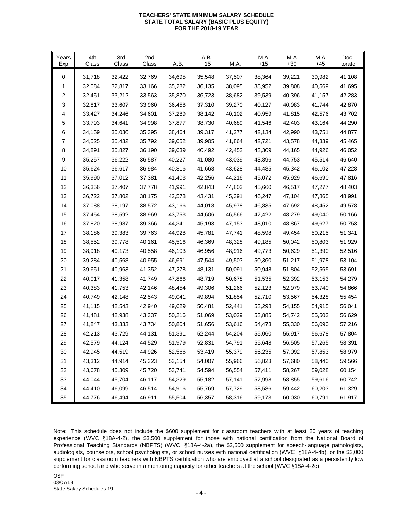## **TEACHERS' STATE MINIMUM SALARY SCHEDULE STATE TOTAL SALARY (BASIC PLUS EQUITY) FOR THE 2018-19 YEAR**

| Years<br>Exp. | 4th<br>Class | 3rd<br>Class | 2nd<br><b>Class</b> | A.B.   | A.B.<br>$+15$ | M.A.   | M.A.<br>$+15$ | M.A.<br>$+30$ | M.A.<br>$+45$ | Doc-<br>torate |
|---------------|--------------|--------------|---------------------|--------|---------------|--------|---------------|---------------|---------------|----------------|
| 0             | 31,718       | 32,422       | 32,769              | 34,695 | 35,548        | 37,507 | 38,364        | 39,221        | 39,982        | 41,108         |
| 1             | 32,084       | 32,817       | 33,166              | 35,282 | 36,135        | 38,095 | 38,952        | 39,808        | 40,569        | 41,695         |
| 2             | 32,451       | 33,212       | 33,563              | 35,870 | 36,723        | 38,682 | 39,539        | 40,396        | 41,157        | 42,283         |
| 3             | 32,817       | 33,607       | 33,960              | 36,458 | 37,310        | 39,270 | 40,127        | 40,983        | 41,744        | 42,870         |
| 4             | 33,427       | 34,246       | 34,601              | 37,289 | 38,142        | 40,102 | 40,959        | 41,815        | 42,576        | 43,702         |
| 5             | 33,793       | 34,641       | 34,998              | 37,877 | 38,730        | 40,689 | 41,546        | 42,403        | 43,164        | 44,290         |
| 6             | 34,159       | 35,036       | 35,395              | 38,464 | 39,317        | 41,277 | 42,134        | 42,990        | 43,751        | 44,877         |
| 7             | 34,525       | 35,432       | 35,792              | 39,052 | 39,905        | 41,864 | 42,721        | 43,578        | 44,339        | 45,465         |
| 8             | 34,891       | 35,827       | 36,190              | 39,639 | 40,492        | 42,452 | 43,309        | 44,165        | 44,926        | 46,052         |
| 9             | 35,257       | 36,222       | 36,587              | 40,227 | 41,080        | 43,039 | 43,896        | 44,753        | 45,514        | 46,640         |
| 10            | 35,624       | 36,617       | 36,984              | 40,816 | 41,668        | 43,628 | 44,485        | 45,342        | 46,102        | 47,228         |
| 11            | 35,990       | 37,012       | 37,381              | 41,403 | 42,256        | 44,216 | 45,072        | 45,929        | 46,690        | 47,816         |
| 12            | 36,356       | 37,407       | 37,778              | 41,991 | 42,843        | 44,803 | 45,660        | 46,517        | 47,277        | 48,403         |
| 13            | 36,722       | 37,802       | 38,175              | 42,578 | 43,431        | 45,391 | 46,247        | 47,104        | 47,865        | 48,991         |
| 14            | 37,088       | 38,197       | 38,572              | 43,166 | 44,018        | 45,978 | 46,835        | 47,692        | 48,452        | 49,578         |
| 15            | 37,454       | 38,592       | 38,969              | 43,753 | 44,606        | 46,566 | 47,422        | 48,279        | 49,040        | 50,166         |
| 16            | 37,820       | 38,987       | 39,366              | 44,341 | 45,193        | 47,153 | 48,010        | 48,867        | 49,627        | 50,753         |
| 17            | 38,186       | 39,383       | 39,763              | 44,928 | 45,781        | 47,741 | 48,598        | 49,454        | 50,215        | 51,341         |
| 18            | 38,552       | 39,778       | 40,161              | 45,516 | 46,369        | 48,328 | 49,185        | 50,042        | 50,803        | 51,929         |
| 19            | 38,918       | 40,173       | 40,558              | 46,103 | 46,956        | 48,916 | 49,773        | 50,629        | 51,390        | 52,516         |
| 20            | 39,284       | 40,568       | 40,955              | 46,691 | 47,544        | 49,503 | 50,360        | 51,217        | 51,978        | 53,104         |
| 21            | 39,651       | 40,963       | 41,352              | 47,278 | 48,131        | 50,091 | 50,948        | 51,804        | 52,565        | 53,691         |
| 22            | 40,017       | 41,358       | 41,749              | 47,866 | 48,719        | 50,678 | 51,535        | 52,392        | 53,153        | 54,279         |
| 23            | 40,383       | 41,753       | 42,146              | 48,454 | 49,306        | 51,266 | 52,123        | 52,979        | 53,740        | 54,866         |
| 24            | 40,749       | 42,148       | 42,543              | 49,041 | 49,894        | 51,854 | 52,710        | 53,567        | 54,328        | 55,454         |
| 25            | 41,115       | 42,543       | 42,940              | 49,629 | 50,481        | 52,441 | 53,298        | 54,155        | 54,915        | 56,041         |
| 26            | 41,481       | 42,938       | 43,337              | 50,216 | 51,069        | 53,029 | 53,885        | 54,742        | 55,503        | 56,629         |
| 27            | 41,847       | 43,333       | 43,734              | 50,804 | 51,656        | 53,616 | 54,473        | 55,330        | 56,090        | 57,216         |
| 28            | 42,213       | 43,729       | 44,131              | 51,391 | 52,244        | 54,204 | 55,060        | 55,917        | 56,678        | 57,804         |
| 29            | 42,579       | 44,124       | 44,529              | 51,979 | 52,831        | 54,791 | 55,648        | 56,505        | 57,265        | 58,391         |
| 30            | 42,945       | 44,519       | 44,926              | 52,566 | 53,419        | 55,379 | 56,235        | 57,092        | 57,853        | 58,979         |
| 31            | 43,312       | 44,914       | 45,323              | 53,154 | 54,007        | 55,966 | 56,823        | 57,680        | 58,440        | 59,566         |
| 32            | 43,678       | 45,309       | 45,720              | 53,741 | 54,594        | 56,554 | 57,411        | 58,267        | 59,028        | 60,154         |
| 33            | 44,044       | 45,704       | 46,117              | 54,329 | 55,182        | 57,141 | 57,998        | 58,855        | 59,616        | 60,742         |
| 34            | 44,410       | 46,099       | 46,514              | 54,916 | 55,769        | 57,729 | 58,586        | 59,442        | 60,203        | 61,329         |
| 35            | 44,776       | 46,494       | 46,911              | 55,504 | 56,357        | 58,316 | 59,173        | 60,030        | 60,791        | 61,917         |

Note: This schedule does not include the \$600 supplement for classroom teachers with at least 20 years of teaching experience (WVC §18A-4-2), the \$3,500 supplement for those with national certification from the National Board of Professional Teaching Standards (NBPTS) (WVC §18A-4-2a), the \$2,500 supplement for speech-language pathologists, audiologists, counselors, school psychologists, or school nurses with national certification (WVC §18A-4-4b), or the \$2,000 supplement for classroom teachers with NBPTS certification who are employed at a school designated as a persistently low performing school and who serve in a mentoring capacity for other teachers at the school (WVC §18A-4-2c).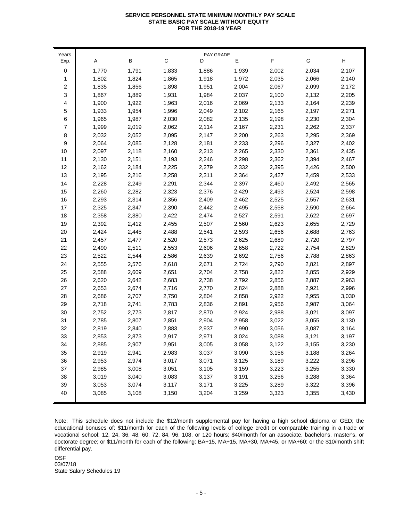# **SERVICE PERSONNEL STATE MINIMUM MONTHLY PAY SCALE STATE BASIC PAY SCALE WITHOUT EQUITY FOR THE 2018-19 YEAR FOR THE 2018-19 YEAR**

| Years       |       |       |             | PAY GRADE |       |       |       |       |
|-------------|-------|-------|-------------|-----------|-------|-------|-------|-------|
| Exp.        | Α     | В     | $\mathsf C$ | D         | Ε     | F     | G     | н     |
| $\mathbf 0$ | 1,770 | 1,791 | 1,833       | 1,886     | 1,939 | 2,002 | 2,034 | 2,107 |
| 1           | 1,802 | 1,824 | 1,865       | 1,918     | 1,972 | 2,035 | 2,066 | 2,140 |
| 2           | 1,835 | 1,856 | 1,898       | 1,951     | 2,004 | 2,067 | 2,099 | 2,172 |
| 3           | 1,867 | 1,889 | 1,931       | 1,984     | 2,037 | 2,100 | 2,132 | 2,205 |
| 4           | 1,900 | 1,922 | 1,963       | 2,016     | 2,069 | 2,133 | 2,164 | 2,239 |
| 5           | 1,933 | 1,954 | 1,996       | 2,049     | 2,102 | 2,165 | 2,197 | 2,271 |
| 6           | 1,965 | 1,987 | 2,030       | 2,082     | 2,135 | 2,198 | 2,230 | 2,304 |
| 7           | 1,999 | 2,019 | 2,062       | 2,114     | 2,167 | 2,231 | 2,262 | 2,337 |
| 8           | 2,032 | 2,052 | 2,095       | 2,147     | 2,200 | 2,263 | 2,295 | 2,369 |
| 9           | 2,064 | 2,085 | 2,128       | 2,181     | 2,233 | 2,296 | 2,327 | 2,402 |
| 10          | 2,097 | 2,118 | 2,160       | 2,213     | 2,265 | 2,330 | 2,361 | 2,435 |
| 11          | 2,130 | 2,151 | 2,193       | 2,246     | 2,298 | 2,362 | 2,394 | 2,467 |
| 12          | 2,162 | 2,184 | 2,225       | 2,279     | 2,332 | 2,395 | 2,426 | 2,500 |
| 13          | 2,195 | 2,216 | 2,258       | 2,311     | 2,364 | 2,427 | 2,459 | 2,533 |
| 14          | 2,228 | 2,249 | 2,291       | 2,344     | 2,397 | 2,460 | 2,492 | 2,565 |
| 15          | 2,260 | 2,282 | 2,323       | 2,376     | 2,429 | 2,493 | 2,524 | 2,598 |
| 16          | 2,293 | 2,314 | 2,356       | 2,409     | 2,462 | 2,525 | 2,557 | 2,631 |
| 17          | 2,325 | 2,347 | 2,390       | 2,442     | 2,495 | 2,558 | 2,590 | 2,664 |
| 18          | 2,358 | 2,380 | 2,422       | 2,474     | 2,527 | 2,591 | 2,622 | 2,697 |
| 19          | 2,392 | 2,412 | 2,455       | 2,507     | 2,560 | 2,623 | 2,655 | 2,729 |
| 20          | 2,424 | 2,445 | 2,488       | 2,541     | 2,593 | 2,656 | 2,688 | 2,763 |
| 21          | 2,457 | 2,477 | 2,520       | 2,573     | 2,625 | 2,689 | 2,720 | 2,797 |
| 22          | 2,490 | 2,511 | 2,553       | 2,606     | 2,658 | 2,722 | 2,754 | 2,829 |
| 23          | 2,522 | 2,544 | 2,586       | 2,639     | 2,692 | 2,756 | 2,788 | 2,863 |
| 24          | 2,555 | 2,576 | 2,618       | 2,671     | 2,724 | 2,790 | 2,821 | 2,897 |
| 25          | 2,588 | 2,609 | 2,651       | 2,704     | 2,758 | 2,822 | 2,855 | 2,929 |
| 26          | 2,620 | 2,642 | 2,683       | 2,738     | 2,792 | 2,856 | 2,887 | 2,963 |
| 27          | 2,653 | 2,674 | 2,716       | 2,770     | 2,824 | 2,888 | 2,921 | 2,996 |
| 28          | 2,686 | 2,707 | 2,750       | 2,804     | 2,858 | 2,922 | 2,955 | 3,030 |
| 29          | 2,718 | 2,741 | 2,783       | 2,836     | 2,891 | 2,956 | 2,987 | 3,064 |
| 30          | 2,752 | 2,773 | 2,817       | 2,870     | 2,924 | 2,988 | 3,021 | 3,097 |
| 31          | 2,785 | 2,807 | 2,851       | 2,904     | 2,958 | 3,022 | 3,055 | 3,130 |
| 32          | 2,819 | 2,840 | 2,883       | 2,937     | 2,990 | 3,056 | 3,087 | 3,164 |
| 33          | 2,853 | 2,873 | 2,917       | 2,971     | 3,024 | 3,088 | 3,121 | 3,197 |
| 34          | 2,885 | 2,907 | 2,951       | 3,005     | 3,058 | 3,122 | 3,155 | 3,230 |
| 35          | 2,919 | 2,941 | 2,983       | 3,037     | 3,090 | 3,156 | 3,188 | 3,264 |
| 36          | 2,953 | 2,974 | 3,017       | 3,071     | 3,125 | 3,189 | 3,222 | 3,296 |
| 37          | 2,985 | 3,008 | 3,051       | 3,105     | 3,159 | 3,223 | 3,255 | 3,330 |
| 38          | 3,019 | 3,040 | 3,083       | 3,137     | 3,191 | 3,256 | 3,288 | 3,364 |
| 39          | 3,053 | 3,074 | 3,117       | 3,171     | 3,225 | 3,289 | 3,322 | 3,396 |
| 40          | 3,085 | 3,108 | 3,150       | 3,204     | 3,259 | 3,323 | 3,355 | 3,430 |

Note: This schedule does not include the \$12/month supplemental pay for having a high school diploma or GED; the educational bonuses of: \$11/month for each of the following levels of college credit or comparable training in a trade or vocational school: 12, 24, 36, 48, 60, 72, 84, 96, 108, or 120 hours; \$40/month for an associate, bachelor's, master's, or doctorate degree; or \$11/month for each of the following: BA+15, MA+15, MA+30, MA+45, or MA+60: or the \$10/month shift differential pay.

OSF State Salary Schedules 19 03/07/18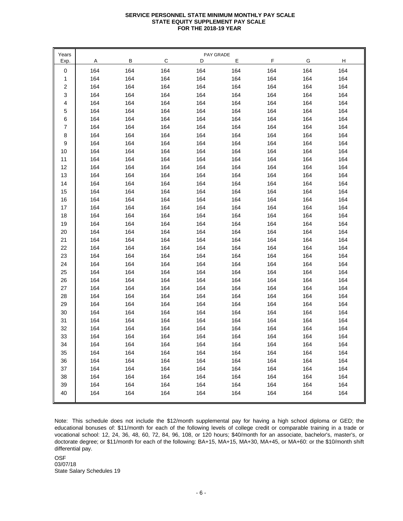## **SERVICE PERSONNEL STATE MINIMUM MONTHLY PAY SCALE STATE EQUITY SUPPLEMENT PAY SCALE FOR THE 2018-19 YEAR FOR THE 2018-19 YEAR**

| Years |     |     |     | PAY GRADE |     |     |     |     |
|-------|-----|-----|-----|-----------|-----|-----|-----|-----|
| Exp.  | Α   | в   | С   | D         | Е   | F   | G   | н   |
| 0     | 164 | 164 | 164 | 164       | 164 | 164 | 164 | 164 |
| 1     | 164 | 164 | 164 | 164       | 164 | 164 | 164 | 164 |
| 2     | 164 | 164 | 164 | 164       | 164 | 164 | 164 | 164 |
| 3     | 164 | 164 | 164 | 164       | 164 | 164 | 164 | 164 |
| 4     | 164 | 164 | 164 | 164       | 164 | 164 | 164 | 164 |
| 5     | 164 | 164 | 164 | 164       | 164 | 164 | 164 | 164 |
| 6     | 164 | 164 | 164 | 164       | 164 | 164 | 164 | 164 |
| 7     | 164 | 164 | 164 | 164       | 164 | 164 | 164 | 164 |
| 8     | 164 | 164 | 164 | 164       | 164 | 164 | 164 | 164 |
| 9     | 164 | 164 | 164 | 164       | 164 | 164 | 164 | 164 |
| 10    | 164 | 164 | 164 | 164       | 164 | 164 | 164 | 164 |
| 11    | 164 | 164 | 164 | 164       | 164 | 164 | 164 | 164 |
| 12    | 164 | 164 | 164 | 164       | 164 | 164 | 164 | 164 |
| 13    | 164 | 164 | 164 | 164       | 164 | 164 | 164 | 164 |
| 14    | 164 | 164 | 164 | 164       | 164 | 164 | 164 | 164 |
| 15    | 164 | 164 | 164 | 164       | 164 | 164 | 164 | 164 |
| 16    | 164 | 164 | 164 | 164       | 164 | 164 | 164 | 164 |
| 17    | 164 | 164 | 164 | 164       | 164 | 164 | 164 | 164 |
| 18    | 164 | 164 | 164 | 164       | 164 | 164 | 164 | 164 |
| 19    | 164 | 164 | 164 | 164       | 164 | 164 | 164 | 164 |
| 20    | 164 | 164 | 164 | 164       | 164 | 164 | 164 | 164 |
| 21    | 164 | 164 | 164 | 164       | 164 | 164 | 164 | 164 |
| 22    | 164 | 164 | 164 | 164       | 164 | 164 | 164 | 164 |
| 23    | 164 | 164 | 164 | 164       | 164 | 164 | 164 | 164 |
| 24    | 164 | 164 | 164 | 164       | 164 | 164 | 164 | 164 |
| 25    | 164 | 164 | 164 | 164       | 164 | 164 | 164 | 164 |
| 26    | 164 | 164 | 164 | 164       | 164 | 164 | 164 | 164 |
| 27    | 164 | 164 | 164 | 164       | 164 | 164 | 164 | 164 |
| 28    | 164 | 164 | 164 | 164       | 164 | 164 | 164 | 164 |
| 29    | 164 | 164 | 164 | 164       | 164 | 164 | 164 | 164 |
| 30    | 164 | 164 | 164 | 164       | 164 | 164 | 164 | 164 |
| 31    | 164 | 164 | 164 | 164       | 164 | 164 | 164 | 164 |
| 32    | 164 | 164 | 164 | 164       | 164 | 164 | 164 | 164 |
| 33    | 164 | 164 | 164 | 164       | 164 | 164 | 164 | 164 |
| 34    | 164 | 164 | 164 | 164       | 164 | 164 | 164 | 164 |
| 35    | 164 | 164 | 164 | 164       | 164 | 164 | 164 | 164 |
| 36    | 164 | 164 | 164 | 164       | 164 | 164 | 164 | 164 |
| 37    | 164 | 164 | 164 | 164       | 164 | 164 | 164 | 164 |
| 38    | 164 | 164 | 164 | 164       | 164 | 164 | 164 | 164 |
| 39    | 164 | 164 | 164 | 164       | 164 | 164 | 164 | 164 |
| 40    | 164 | 164 | 164 | 164       | 164 | 164 | 164 | 164 |
|       |     |     |     |           |     |     |     |     |

Note: This schedule does not include the \$12/month supplemental pay for having a high school diploma or GED; the educational bonuses of: \$11/month for each of the following levels of college credit or comparable training in a trade or vocational school: 12, 24, 36, 48, 60, 72, 84, 96, 108, or 120 hours; \$40/month for an associate, bachelor's, master's, or doctorate degree; or \$11/month for each of the following: BA+15, MA+15, MA+30, MA+45, or MA+60: or the \$10/month shift differential pay.

OSF State Salary Schedules 19 03/07/18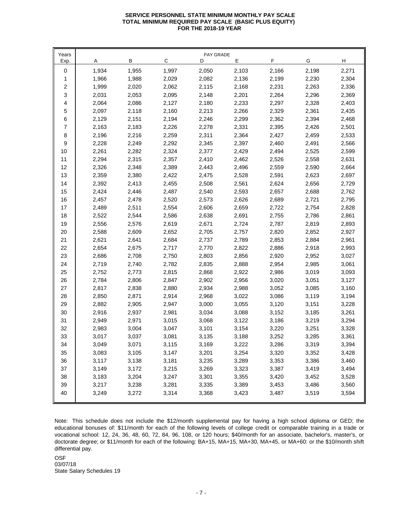# **SERVICE PERSONNEL STATE MINIMUM MONTHLY PAY SCALE TOTAL MINIMUM REQUIRED PAY SCALE (BASIC PLUS EQUITY) FOR THE 2018-19 YEAR**

| Years       |       |       |       | PAY GRADE |       |       |       |       |
|-------------|-------|-------|-------|-----------|-------|-------|-------|-------|
| Exp.        | A     | В     | С     | D         | Е     | F     | G     | н     |
| $\mathbf 0$ | 1,934 | 1,955 | 1,997 | 2,050     | 2,103 | 2,166 | 2,198 | 2,271 |
| 1           | 1,966 | 1,988 | 2,029 | 2,082     | 2,136 | 2,199 | 2,230 | 2,304 |
| 2           | 1,999 | 2,020 | 2,062 | 2,115     | 2,168 | 2,231 | 2,263 | 2,336 |
| 3           | 2,031 | 2,053 | 2,095 | 2,148     | 2,201 | 2,264 | 2,296 | 2,369 |
| 4           | 2,064 | 2,086 | 2,127 | 2,180     | 2,233 | 2,297 | 2,328 | 2,403 |
| 5           | 2,097 | 2,118 | 2,160 | 2,213     | 2,266 | 2,329 | 2,361 | 2,435 |
| 6           | 2,129 | 2,151 | 2,194 | 2,246     | 2,299 | 2,362 | 2,394 | 2,468 |
| 7           | 2,163 | 2,183 | 2,226 | 2,278     | 2,331 | 2,395 | 2,426 | 2,501 |
| 8           | 2,196 | 2,216 | 2,259 | 2,311     | 2,364 | 2,427 | 2,459 | 2,533 |
| 9           | 2,228 | 2,249 | 2,292 | 2,345     | 2,397 | 2,460 | 2,491 | 2,566 |
| 10          | 2,261 | 2,282 | 2,324 | 2,377     | 2,429 | 2,494 | 2,525 | 2,599 |
| 11          | 2,294 | 2,315 | 2,357 | 2,410     | 2,462 | 2,526 | 2,558 | 2,631 |
| 12          | 2,326 | 2,348 | 2,389 | 2,443     | 2,496 | 2,559 | 2,590 | 2,664 |
| 13          | 2,359 | 2,380 | 2,422 | 2,475     | 2,528 | 2,591 | 2,623 | 2,697 |
| 14          | 2,392 | 2,413 | 2,455 | 2,508     | 2,561 | 2,624 | 2,656 | 2,729 |
| 15          | 2,424 | 2,446 | 2,487 | 2,540     | 2,593 | 2,657 | 2,688 | 2,762 |
| 16          | 2,457 | 2,478 | 2,520 | 2,573     | 2,626 | 2,689 | 2,721 | 2,795 |
| 17          | 2,489 | 2,511 | 2,554 | 2,606     | 2,659 | 2,722 | 2,754 | 2,828 |
| 18          | 2,522 | 2,544 | 2,586 | 2,638     | 2,691 | 2,755 | 2,786 | 2,861 |
| 19          | 2,556 | 2,576 | 2,619 | 2,671     | 2,724 | 2,787 | 2,819 | 2,893 |
| 20          | 2,588 | 2,609 | 2,652 | 2,705     | 2,757 | 2,820 | 2,852 | 2,927 |
| 21          | 2,621 | 2,641 | 2,684 | 2,737     | 2,789 | 2,853 | 2,884 | 2,961 |
| 22          | 2,654 | 2,675 | 2,717 | 2,770     | 2,822 | 2,886 | 2,918 | 2,993 |
| 23          | 2,686 | 2,708 | 2,750 | 2,803     | 2,856 | 2,920 | 2,952 | 3,027 |
| 24          | 2,719 | 2,740 | 2,782 | 2,835     | 2,888 | 2,954 | 2,985 | 3,061 |
| 25          | 2,752 | 2,773 | 2,815 | 2,868     | 2,922 | 2,986 | 3,019 | 3,093 |
| 26          | 2,784 | 2,806 | 2,847 | 2,902     | 2,956 | 3,020 | 3,051 | 3,127 |
| 27          | 2,817 | 2,838 | 2,880 | 2,934     | 2,988 | 3,052 | 3,085 | 3,160 |
| 28          | 2,850 | 2,871 | 2,914 | 2,968     | 3,022 | 3,086 | 3,119 | 3,194 |
| 29          | 2,882 | 2,905 | 2,947 | 3,000     | 3,055 | 3,120 | 3,151 | 3,228 |
| 30          | 2,916 | 2,937 | 2,981 | 3,034     | 3,088 | 3,152 | 3,185 | 3,261 |
| 31          | 2,949 | 2,971 | 3,015 | 3,068     | 3,122 | 3,186 | 3,219 | 3,294 |
| 32          | 2,983 | 3,004 | 3,047 | 3,101     | 3,154 | 3,220 | 3,251 | 3,328 |
| 33          | 3,017 | 3,037 | 3,081 | 3,135     | 3,188 | 3,252 | 3,285 | 3,361 |
| 34          | 3,049 | 3,071 | 3,115 | 3,169     | 3,222 | 3,286 | 3,319 | 3,394 |
| 35          | 3,083 | 3,105 | 3,147 | 3,201     | 3,254 | 3,320 | 3,352 | 3,428 |
| 36          | 3,117 | 3,138 | 3,181 | 3,235     | 3,289 | 3,353 | 3,386 | 3,460 |
| 37          | 3,149 | 3,172 | 3,215 | 3,269     | 3,323 | 3,387 | 3,419 | 3,494 |
| 38          | 3,183 | 3,204 | 3,247 | 3,301     | 3,355 | 3,420 | 3,452 | 3,528 |
| 39          | 3,217 | 3,238 | 3,281 | 3,335     | 3,389 | 3,453 | 3,486 | 3,560 |
| 40          | 3,249 | 3,272 | 3,314 | 3,368     | 3,423 | 3,487 | 3,519 | 3,594 |

Note: This schedule does not include the \$12/month supplemental pay for having a high school diploma or GED; the educational bonuses of: \$11/month for each of the following levels of college credit or comparable training in a trade or vocational school: 12, 24, 36, 48, 60, 72, 84, 96, 108, or 120 hours; \$40/month for an associate, bachelor's, master's, or doctorate degree; or \$11/month for each of the following: BA+15, MA+15, MA+30, MA+45, or MA+60: or the \$10/month shift differential pay.

OSF State Salary Schedules 19 03/07/18